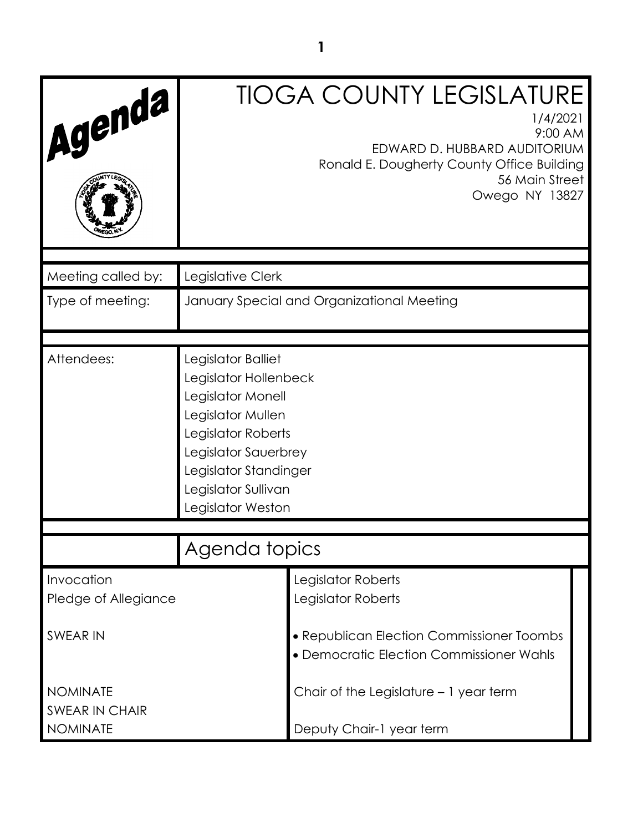|                                                                                                                                                                                                          | <b>TIOGA COUNTY LEGISLATURE</b><br>1/4/2021<br>9:00 AM<br>EDWARD D. HUBBARD AUDITORIUM<br>Ronald E. Dougherty County Office Building<br>56 Main Street<br>Owego NY 13827 |
|----------------------------------------------------------------------------------------------------------------------------------------------------------------------------------------------------------|--------------------------------------------------------------------------------------------------------------------------------------------------------------------------|
| Legislative Clerk                                                                                                                                                                                        |                                                                                                                                                                          |
|                                                                                                                                                                                                          | January Special and Organizational Meeting                                                                                                                               |
| Legislator Balliet<br>Legislator Hollenbeck<br>Legislator Monell<br>Legislator Mullen<br>Legislator Roberts<br>Legislator Sauerbrey<br>Legislator Standinger<br>Legislator Sullivan<br>Legislator Weston |                                                                                                                                                                          |
| Agenda topics                                                                                                                                                                                            |                                                                                                                                                                          |
|                                                                                                                                                                                                          | Legislator Roberts<br>Legislator Roberts                                                                                                                                 |
|                                                                                                                                                                                                          | • Republican Election Commissioner Toombs<br>• Democratic Election Commissioner Wahls                                                                                    |
|                                                                                                                                                                                                          | Chair of the Legislature - 1 year term<br>Deputy Chair-1 year term                                                                                                       |
|                                                                                                                                                                                                          |                                                                                                                                                                          |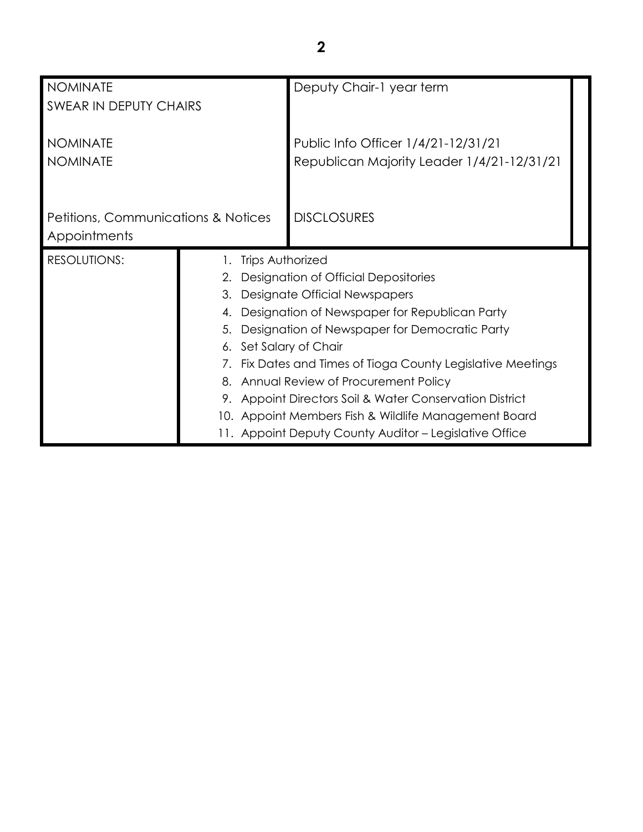| <b>NOMINATE</b><br>SWEAR IN DEPUTY CHAIRS                      |                                                                                                                                                                                                                                                                                                                                                                                                                                                                                                                                     | Deputy Chair-1 year term                                                          |  |
|----------------------------------------------------------------|-------------------------------------------------------------------------------------------------------------------------------------------------------------------------------------------------------------------------------------------------------------------------------------------------------------------------------------------------------------------------------------------------------------------------------------------------------------------------------------------------------------------------------------|-----------------------------------------------------------------------------------|--|
| <b>NOMINATE</b><br><b>NOMINATE</b>                             |                                                                                                                                                                                                                                                                                                                                                                                                                                                                                                                                     | Public Info Officer 1/4/21-12/31/21<br>Republican Majority Leader 1/4/21-12/31/21 |  |
| <b>Petitions, Communications &amp; Notices</b><br>Appointments |                                                                                                                                                                                                                                                                                                                                                                                                                                                                                                                                     | <b>DISCLOSURES</b>                                                                |  |
| <b>RESOLUTIONS:</b>                                            | 1. Trips Authorized<br>2. Designation of Official Depositories<br>Designate Official Newspapers<br>3.<br>Designation of Newspaper for Republican Party<br>4.<br>Designation of Newspaper for Democratic Party<br>5.<br>6. Set Salary of Chair<br>7. Fix Dates and Times of Tioga County Legislative Meetings<br>8. Annual Review of Procurement Policy<br>9. Appoint Directors Soil & Water Conservation District<br>10. Appoint Members Fish & Wildlife Management Board<br>11. Appoint Deputy County Auditor - Legislative Office |                                                                                   |  |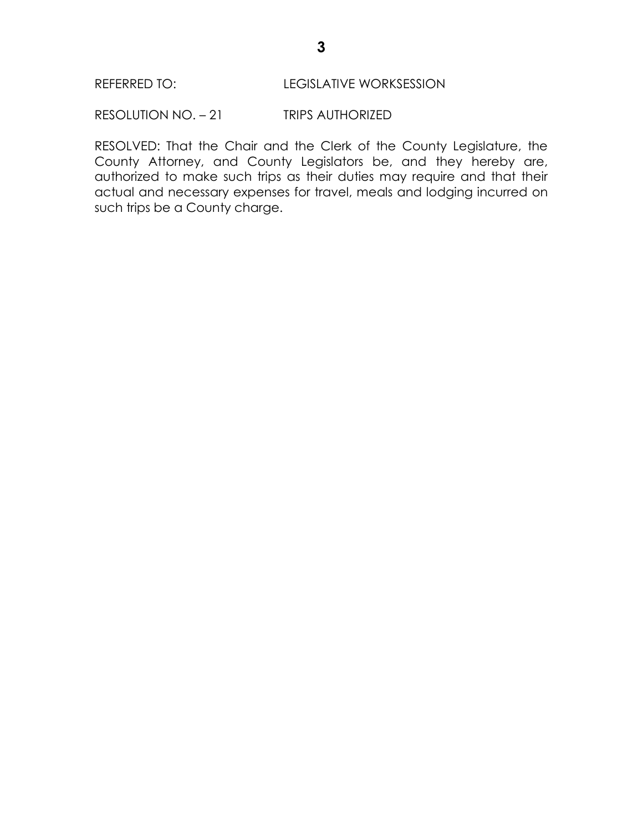RESOLUTION NO. – 21 TRIPS AUTHORIZED

RESOLVED: That the Chair and the Clerk of the County Legislature, the County Attorney, and County Legislators be, and they hereby are, authorized to make such trips as their duties may require and that their actual and necessary expenses for travel, meals and lodging incurred on such trips be a County charge.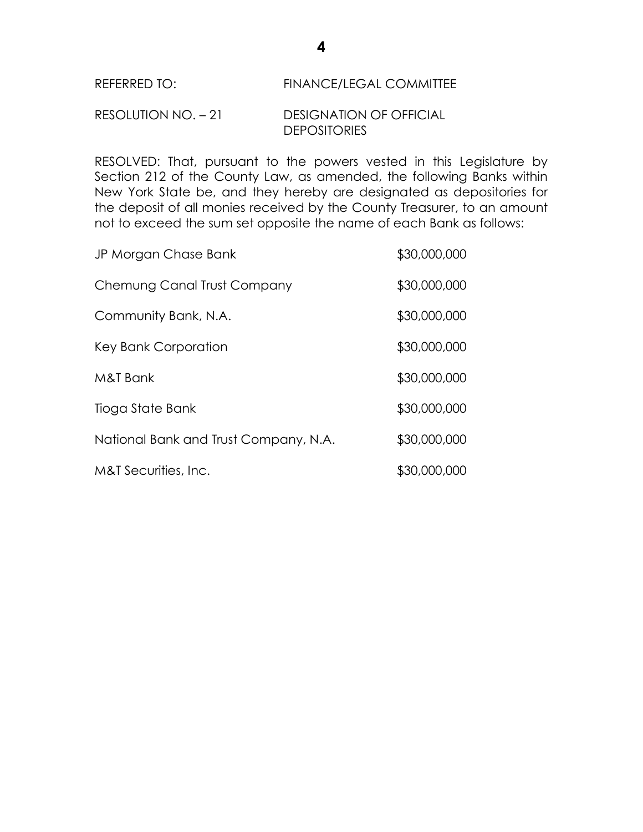# REFERRED TO: FINANCE/LEGAL COMMITTEE

# RESOLUTION NO. – 21 DESIGNATION OF OFFICIAL **DEPOSITORIES**

RESOLVED: That, pursuant to the powers vested in this Legislature by Section 212 of the County Law, as amended, the following Banks within New York State be, and they hereby are designated as depositories for the deposit of all monies received by the County Treasurer, to an amount not to exceed the sum set opposite the name of each Bank as follows:

| JP Morgan Chase Bank                  | \$30,000,000 |
|---------------------------------------|--------------|
| Chemung Canal Trust Company           | \$30,000,000 |
| Community Bank, N.A.                  | \$30,000,000 |
| Key Bank Corporation                  | \$30,000,000 |
| M&T Bank                              | \$30,000,000 |
| Tioga State Bank                      | \$30,000,000 |
| National Bank and Trust Company, N.A. | \$30,000,000 |
| M&T Securities, Inc.                  | \$30,000,000 |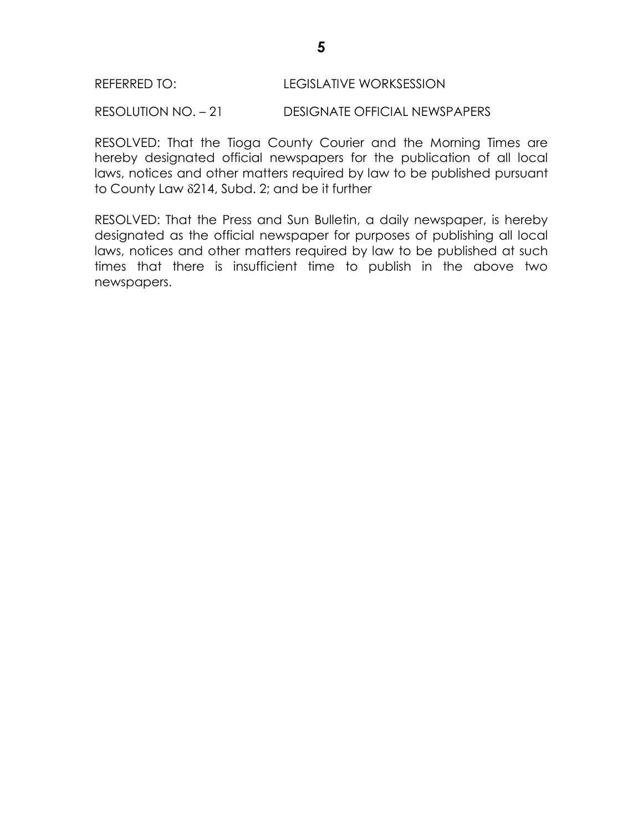RESOLUTION NO. – 21 DESIGNATE OFFICIAL NEWSPAPERS

RESOLVED: That the Tioga County Courier and the Morning Times are hereby designated official newspapers for the publication of all local laws, notices and other matters required by law to be published pursuant to County Law  $\delta$ 214, Subd. 2; and be it further

RESOLVED: That the Press and Sun Bulletin, a daily newspaper, is hereby designated as the official newspaper for purposes of publishing all local laws, notices and other matters required by law to be published at such times that there is insufficient time to publish in the above two newspapers.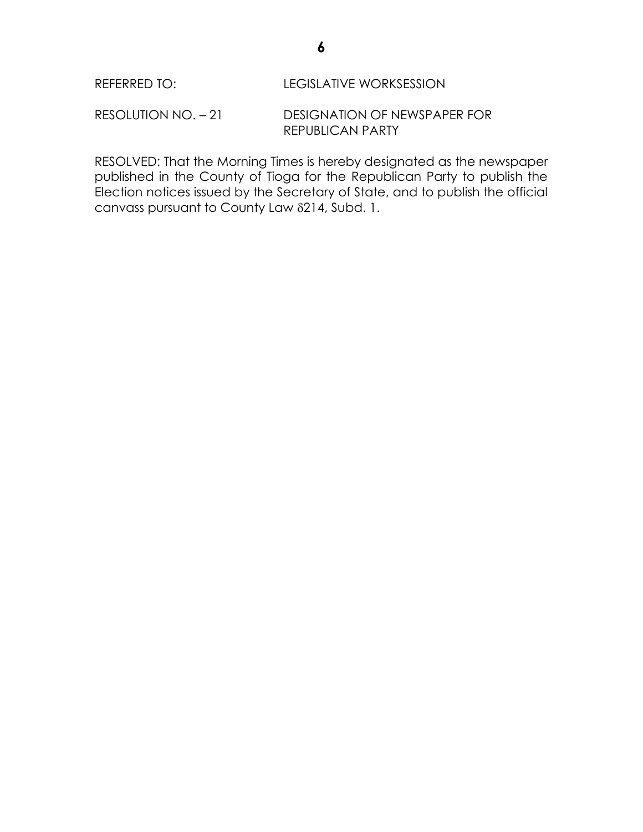RESOLUTION NO. – 21 DESIGNATION OF NEWSPAPER FOR REPUBLICAN PARTY

RESOLVED: That the Morning Times is hereby designated as the newspaper published in the County of Tioga for the Republican Party to publish the Election notices issued by the Secretary of State, and to publish the official canvass pursuant to County Law 214, Subd. 1.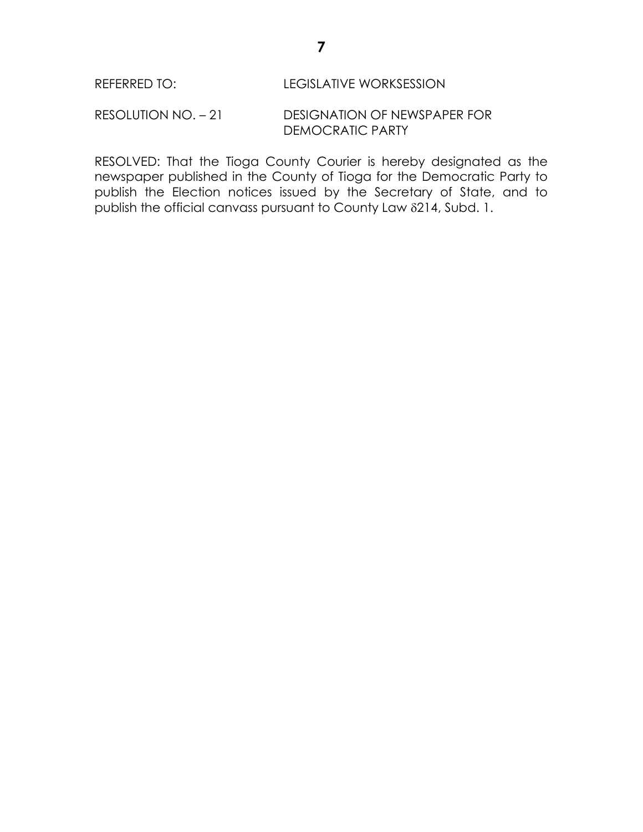#### RESOLUTION NO. – 21 DESIGNATION OF NEWSPAPER FOR DEMOCRATIC PARTY

RESOLVED: That the Tioga County Courier is hereby designated as the newspaper published in the County of Tioga for the Democratic Party to publish the Election notices issued by the Secretary of State, and to publish the official canvass pursuant to County Law 214, Subd. 1.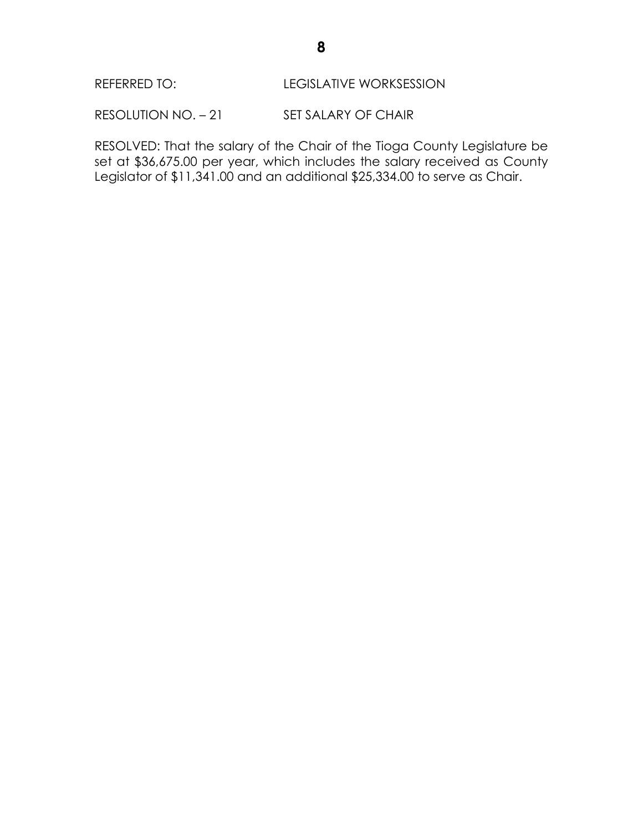RESOLUTION NO. - 21 SET SALARY OF CHAIR

RESOLVED: That the salary of the Chair of the Tioga County Legislature be set at \$36,675.00 per year, which includes the salary received as County Legislator of \$11,341.00 and an additional \$25,334.00 to serve as Chair.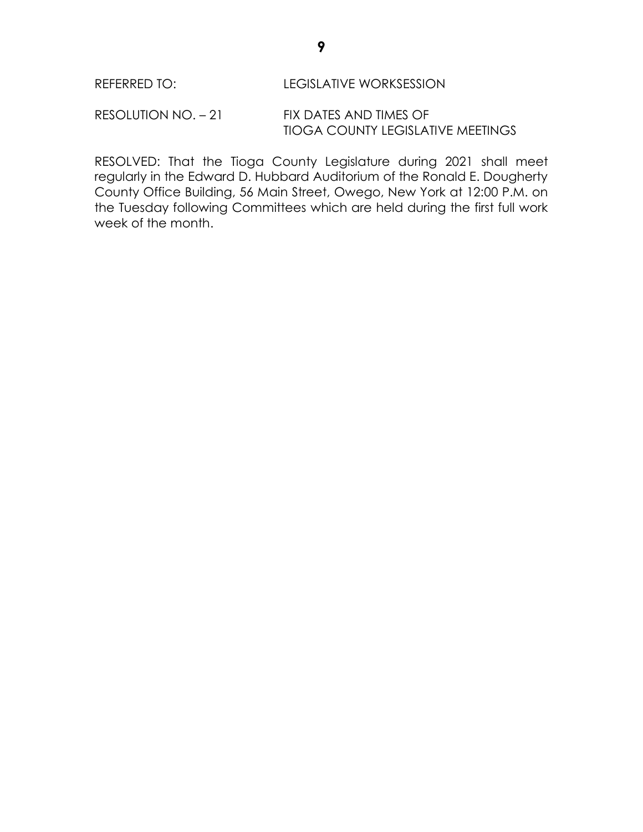RESOLUTION NO. – 21 FIX DATES AND TIMES OF TIOGA COUNTY LEGISLATIVE MEETINGS

RESOLVED: That the Tioga County Legislature during 2021 shall meet regularly in the Edward D. Hubbard Auditorium of the Ronald E. Dougherty County Office Building, 56 Main Street, Owego, New York at 12:00 P.M. on the Tuesday following Committees which are held during the first full work week of the month.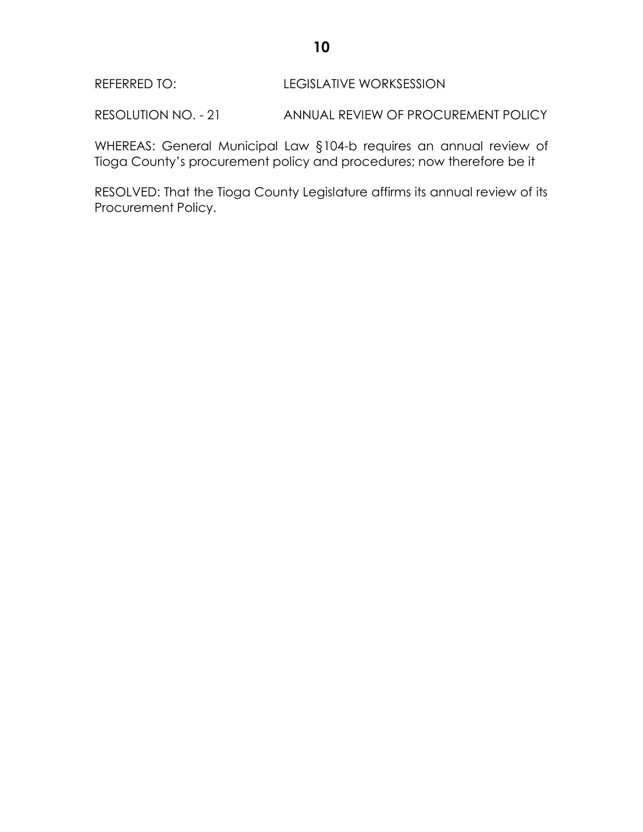RESOLUTION NO. - 21 ANNUAL REVIEW OF PROCUREMENT POLICY

WHEREAS: General Municipal Law §104-b requires an annual review of Tioga County's procurement policy and procedures; now therefore be it

RESOLVED: That the Tioga County Legislature affirms its annual review of its Procurement Policy.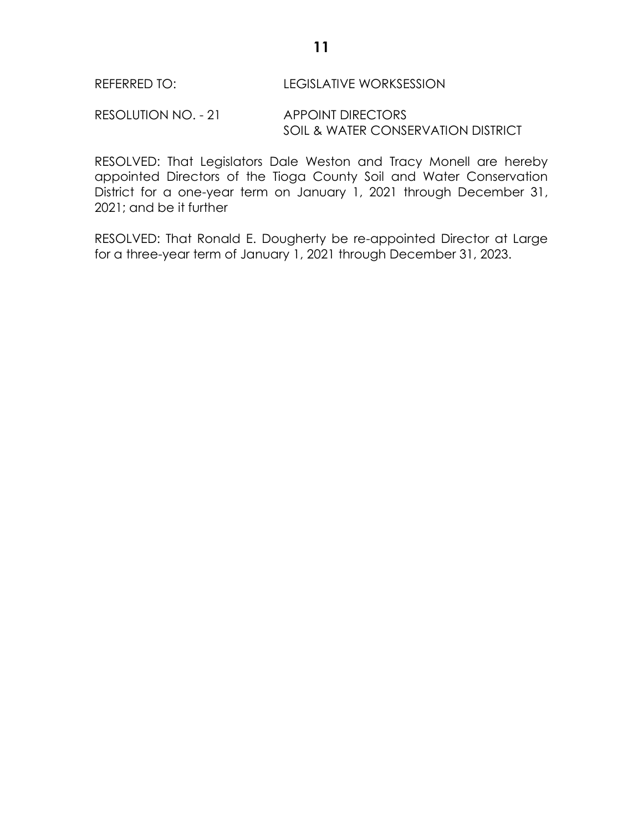RESOLUTION NO. - 21 APPOINT DIRECTORS SOIL & WATER CONSERVATION DISTRICT

RESOLVED: That Legislators Dale Weston and Tracy Monell are hereby appointed Directors of the Tioga County Soil and Water Conservation District for a one-year term on January 1, 2021 through December 31, 2021; and be it further

RESOLVED: That Ronald E. Dougherty be re-appointed Director at Large for a three-year term of January 1, 2021 through December 31, 2023.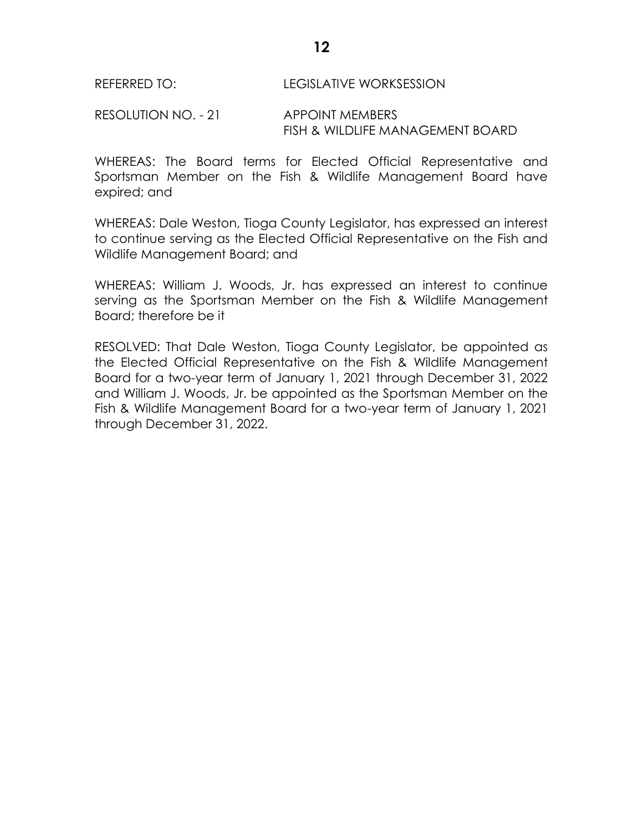RESOLUTION NO. - 21 APPOINT MEMBERS FISH & WILDLIFE MANAGEMENT BOARD

WHEREAS: The Board terms for Elected Official Representative and Sportsman Member on the Fish & Wildlife Management Board have expired; and

WHEREAS: Dale Weston, Tioga County Legislator, has expressed an interest to continue serving as the Elected Official Representative on the Fish and Wildlife Management Board; and

WHEREAS: William J. Woods, Jr. has expressed an interest to continue serving as the Sportsman Member on the Fish & Wildlife Management Board; therefore be it

RESOLVED: That Dale Weston, Tioga County Legislator, be appointed as the Elected Official Representative on the Fish & Wildlife Management Board for a two-year term of January 1, 2021 through December 31, 2022 and William J. Woods, Jr. be appointed as the Sportsman Member on the Fish & Wildlife Management Board for a two-year term of January 1, 2021 through December 31, 2022.